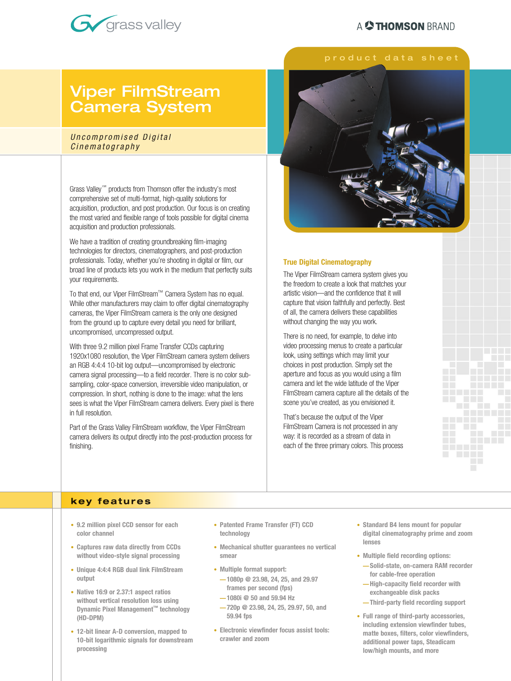## A **C THOMSON** BRAND



## Viper FilmStream Camera System

#### Uncompromised Digital Cinematography

Grass Valley™ products from Thomson offer the industry's most comprehensive set of multi-format, high-quality solutions for acquisition, production, and post production. Our focus is on creating the most varied and flexible range of tools possible for digital cinema acquisition and production professionals.

We have a tradition of creating groundbreaking film-imaging technologies for directors, cinematographers, and post-production professionals. Today, whether you're shooting in digital or film, our broad line of products lets you work in the medium that perfectly suits your requirements.

To that end, our Viper FilmStream™ Camera System has no equal. While other manufacturers may claim to offer digital cinematography cameras, the Viper FilmStream camera is the only one designed from the ground up to capture every detail you need for brilliant, uncompromised, uncompressed output.

With three 9.2 million pixel Frame Transfer CCDs capturing 1920x1080 resolution, the Viper FilmStream camera system delivers an RGB 4:4:4 10-bit log output—uncompromised by electronic camera signal processing—to a field recorder. There is no color subsampling, color-space conversion, irreversible video manipulation, or compression. In short, nothing is done to the image: what the lens sees is what the Viper FilmStream camera delivers. Every pixel is there in full resolution.

Part of the Grass Valley FilmStream workflow, the Viper FilmStream camera delivers its output directly into the post-production process for finishing.



#### **True Digital Cinematography**

The Viper FilmStream camera system gives you the freedom to create a look that matches your artistic vision—and the confidence that it will capture that vision faithfully and perfectly. Best of all, the camera delivers these capabilities without changing the way you work.

There is no need, for example, to delve into video processing menus to create a particular look, using settings which may limit your choices in post production. Simply set the aperture and focus as you would using a film camera and let the wide latitude of the Viper FilmStream camera capture all the details of the scene you've created, as you envisioned it.

That's because the output of the Viper FilmStream Camera is not processed in any way: it is recorded as a stream of data in each of the three primary colors. This process

#### **key fea t u res**

- **9.2 million pixel CCD sensor for each color channel**
- **Captures raw data directly from CCDs without video-style signal processing**
- **Unique 4:4:4 RGB dual link FilmStream output**
- **Native 16:9 or 2.37:1 aspect ratios without vertical resolution loss using Dynamic Pixel Management™ technology (HD-DPM)**
- **12-bit linear A-D conversion, mapped to 10-bit logarithmic signals for downstream processing**
- **Patented Frame Transfer (FT) CCD technology**
- **Mechanical shutter guarantees no vertical smear**
- **Multiple format support:**
- **1080p @ 23.98, 24, 25, and 29.97 frames per second (fps)**
- **1080i @ 50 and 59.94 Hz**
- **720p @ 23.98, 24, 25, 29.97, 50, and 59.94 fps**
- **Electronic viewfinder focus assist tools: crawler and zoom**

**• Standard B4 lens mount for popular digital cinematography prime and zoom lenses**

**The College** 

**COLLEGE** 

n a

- **Multiple field recording options: — Solid-state, on-camera RAM recorder for cable-free operation** 
	- **High-capacity field recorder with exchangeable disk packs**
	- **Third-party field recording support**
- **Full range of third-party accessories, including extension viewfinder tubes, matte boxes, filters, color viewfinders, additional power taps, Steadicam low/high mounts, and more**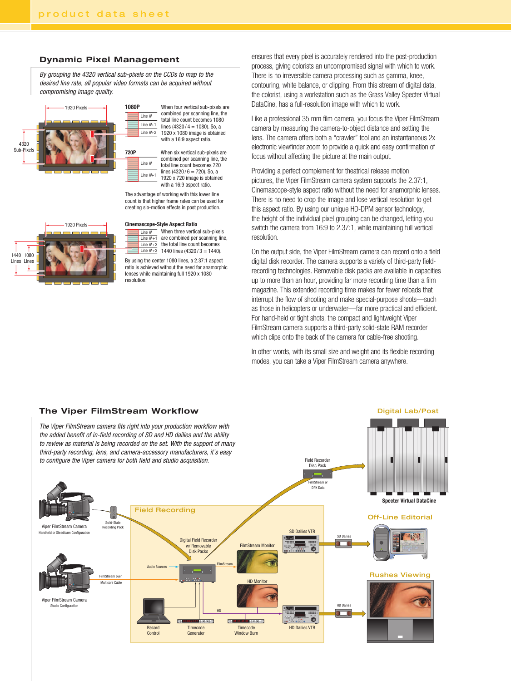#### **Dynamic Pixel Management**

By grouping the 4320 vertical sub-pixels on the CCDs to map to the desired line rate, all popular video formats can be acquired without compromising image quality.



1080P When four vertical sub-pixels are combined per scanning line, the total line count becomes 1080 lines  $(4320 / 4 = 1080)$ . So, a 1920 x 1080 image is obtained with a 16:9 aspect ratio. Line N Line N+1 Line  $N+2$ 

720P When six vertical sub-pixels are combined per scanning line, the total line count becomes 720 lines  $(4320/6 - 720)$ . So, a 1920 x 720 image is obtained with a 16:9 aspect ratio. Line N Line N+1

The advantage of working with this lower line count is that higher frame rates can be used for creating slo-motion effects in post production.

# 1920 Pixels 1440 1080 Lines Lines

**Cinemascope-Style Aspect Ratio**<br> $\frac{1}{\frac{1}{\frac{1}{\sqrt{1}}}}$  (When three vertical sub-pixels)  $\overline{\lim_{\text{Line } N}}$  When three vertical sub-pixels<br>Line N +1 are combined per scanning line, Line  $N+2$  the total line count becomes Line  $N+3$  1440 lines  $(4320/3 = 1440)$ .

By using the center 1080 lines, a 2.37:1 aspect ratio is achieved without the need for anamorphic lenses while maintaining full 1920 x 1080 resolution.

ensures that every pixel is accurately rendered into the post-production process, giving colorists an uncompromised signal with which to work. There is no irreversible camera processing such as gamma, knee, contouring, white balance, or clipping. From this stream of digital data, the colorist, using a workstation such as the Grass Valley Specter Virtual DataCine, has a full-resolution image with which to work.

Like a professional 35 mm film camera, you focus the Viper FilmStream camera by measuring the camera-to-object distance and setting the lens. The camera offers both a "crawler" tool and an instantaneous 2x electronic viewfinder zoom to provide a quick and easy confirmation of focus without affecting the picture at the main output.

Providing a perfect complement for theatrical release motion pictures, the Viper FilmStream camera system supports the 2.37:1, Cinemascope-style aspect ratio without the need for anamorphic lenses. There is no need to crop the image and lose vertical resolution to get this aspect ratio. By using our unique HD-DPM sensor technology, the height of the individual pixel grouping can be changed, letting you switch the camera from 16:9 to 2.37:1, while maintaining full vertical resolution.

On the output side, the Viper FilmStream camera can record onto a field digital disk recorder. The camera supports a variety of third-party fieldrecording technologies. Removable disk packs are available in capacities up to more than an hour, providing far more recording time than a film magazine. This extended recording time makes for fewer reloads that interrupt the flow of shooting and make special-purpose shoots—such as those in helicopters or underwater—far more practical and efficient. For hand-held or tight shots, the compact and lightweight Viper FilmStream camera supports a third-party solid-state RAM recorder which clips onto the back of the camera for cable-free shooting.

In other words, with its small size and weight and its flexible recording modes, you can take a Viper FilmStream camera anywhere.

Digital Lab/Post

#### **The Viper FilmStream Workflow**

The Viper FilmStream camera fits right into your production workflow with the added benefit of in-field recording of SD and HD dailies and the ability to review as material is being recorded on the set. With the support of many third-party recording, lens, and camera-accessory manufacturers, it's easy

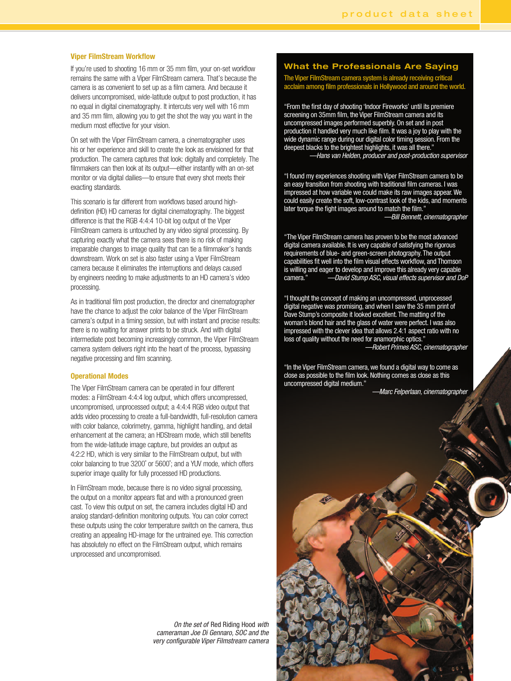#### **Viper FilmStream Workflow**

If you're used to shooting 16 mm or 35 mm film, your on-set workflow remains the same with a Viper FilmStream camera. That's because the camera is as convenient to set up as a film camera. And because it delivers uncompromised, wide-latitude output to post production, it has no equal in digital cinematography. It intercuts very well with 16 mm and 35 mm film, allowing you to get the shot the way you want in the medium most effective for your vision.

On set with the Viper FilmStream camera, a cinematographer uses his or her experience and skill to create the look as envisioned for that production. The camera captures that look: digitally and completely. The filmmakers can then look at its output—either instantly with an on-set monitor or via digital dailies-to ensure that every shot meets their exacting standards.

This scenario is far different from workflows based around highdefinition (HD) HD cameras for digital cinematography. The biggest difference is that the RGB 4:4:4 10-bit log output of the Viper FilmStream camera is untouched by any video signal processing. By capturing exactly what the camera sees there is no risk of making irreparable changes to image quality that can tie a filmmaker's hands downstream. Work on set is also faster using a Viper FilmStream camera because it eliminates the interruptions and delays caused by engineers needing to make adjustments to an HD camera's video processing.

As in traditional film post production, the director and cinematographer have the chance to adjust the color balance of the Viper FilmStream camera's output in a timing session, but with instant and precise results: there is no waiting for answer prints to be struck. And with digital intermediate post becoming increasingly common, the Viper FilmStream camera system delivers right into the heart of the process, bypassing negative processing and film scanning.

#### **Operational Modes**

The Viper FilmStream camera can be operated in four different modes: a FilmStream 4:4:4 log output, which offers uncompressed, uncompromised, unprocessed output; a 4:4:4 RGB video output that adds video processing to create a full-bandwidth, full-resolution camera with color balance, colorimetry, gamma, highlight handling, and detail enhancement at the camera; an HDStream mode, which still benefits from the wide-latitude image capture, but provides an output as 4:2:2 HD, which is very similar to the FilmStream output, but with color balancing to true 3200° or 5600°; and a YUV mode, which offers superior image quality for fully processed HD productions.

In FilmStream mode, because there is no video signal processing, the output on a monitor appears flat and with a pronounced green cast. To view this output on set, the camera includes digital HD and analog standard-definition monitoring outputs. You can color correct these outputs using the color temperature switch on the camera, thus creating an appealing HD-image for the untrained eye. This correction has absolutely no effect on the FilmStream output, which remains unprocessed and uncompromised.

> On the set of Red Riding Hood with cameraman Joe Di Gennaro, SOC and the very configurable Viper Filmstream camera

### **What the Professionals Are Saying**

The Viper FilmStream camera system is already receiving critical<br>acclaim among film professionals in Hollywood and around the world.

"From the first day of shooting 'Indoor Fireworks' until its premiere screening on 35mm film, the Viper FilmStream camera and its uncompressed images performed superbly. On set and in post<br>production it handled very much like film. It was a joy to play with the wide dynamic range during our digital color timing session. From the deepest blacks to the brightest highlights, it was all there."

-Hans van Helden, producer and post-production supervisor

"I found my experiences shooting with Viper FilmStream camera to be an easy transition from shooting with traditional film cameras. I was impressed at how variable we could make its raw images appear. We could easily create the soft, low-contrast look of the kids, and moments later torque the fight images around to match the film.' Bill Bennett, cinematographer

"The Viper FilmStream camera has proven to be the most advanced digital camera available. It is very capable of satisfying the rigorous requirements of blue- and green-screen photography. The output capabilities fit well into the film visual effects workflow, and Thomson is willing and eager to develop and improve this already very capable -David Stump ASC, visual effects supervisor and DoP camera.'

"I thought the concept of making an uncompressed, unprocessed digital negative was promising, and when I saw the 35 mm print of Dave Stump's composite it looked excellent. The matting of the woman's blond hair and the glass of water were perfect. I was also impressed with the clever idea that allows 2.4:1 aspect ratio with no loss of quality without the need for anamorphic optics." -Robert Primes ASC, cinematographer

"In the Viper FilmStream camera, we found a digital way to come as close as possible to the film look. Nothing comes as close as this uncompressed digital medium."

-Marc Felperlaan, cinematographer